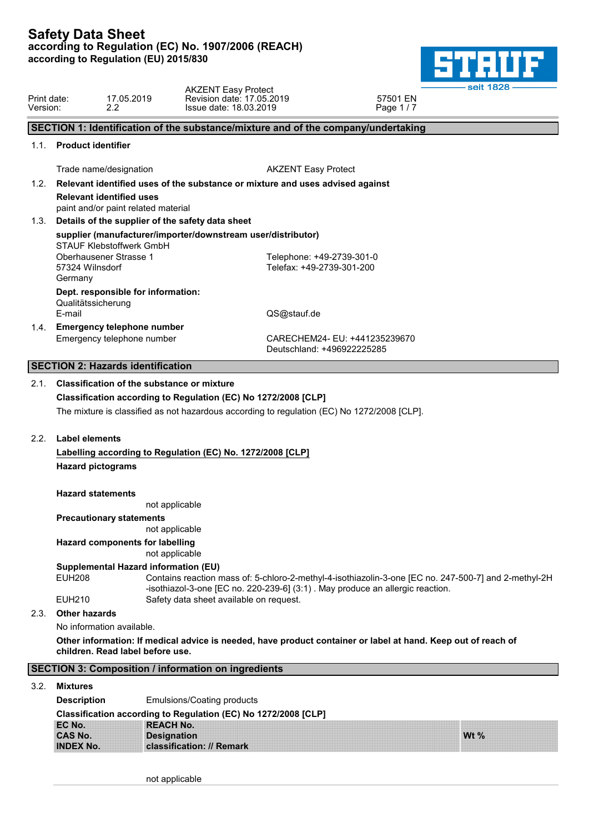

**Wt %**

| Print date:<br>Version: |                                       | 17.05.2019<br>2.2                                                      | <b>AKZENT Easy Protect</b><br>Revision date: 17.05.2019<br>Issue date: 18.03.2019 |                                                                                                                                                               | 57501 EN<br>Page 1/7          | seit 1828                                                                                                     |  |
|-------------------------|---------------------------------------|------------------------------------------------------------------------|-----------------------------------------------------------------------------------|---------------------------------------------------------------------------------------------------------------------------------------------------------------|-------------------------------|---------------------------------------------------------------------------------------------------------------|--|
|                         |                                       |                                                                        |                                                                                   | SECTION 1: Identification of the substance/mixture and of the company/undertaking                                                                             |                               |                                                                                                               |  |
| 1.1.                    | <b>Product identifier</b>             |                                                                        |                                                                                   |                                                                                                                                                               |                               |                                                                                                               |  |
|                         |                                       | Trade name/designation                                                 |                                                                                   | <b>AKZENT Easy Protect</b>                                                                                                                                    |                               |                                                                                                               |  |
| 1.2.                    |                                       |                                                                        |                                                                                   | Relevant identified uses of the substance or mixture and uses advised against                                                                                 |                               |                                                                                                               |  |
|                         |                                       | <b>Relevant identified uses</b><br>paint and/or paint related material |                                                                                   |                                                                                                                                                               |                               |                                                                                                               |  |
| 1.3.                    |                                       |                                                                        | Details of the supplier of the safety data sheet                                  |                                                                                                                                                               |                               |                                                                                                               |  |
|                         |                                       | STAUF Klebstoffwerk GmbH                                               |                                                                                   | supplier (manufacturer/importer/downstream user/distributor)                                                                                                  |                               |                                                                                                               |  |
|                         | 57324 Wilnsdorf<br>Germany            | Oberhausener Strasse 1                                                 |                                                                                   | Telephone: +49-2739-301-0<br>Telefax: +49-2739-301-200                                                                                                        |                               |                                                                                                               |  |
|                         | Qualitätssicherung<br>E-mail          | Dept. responsible for information:                                     |                                                                                   | QS@stauf.de                                                                                                                                                   |                               |                                                                                                               |  |
| 1.4.                    |                                       | <b>Emergency telephone number</b>                                      |                                                                                   |                                                                                                                                                               |                               |                                                                                                               |  |
|                         |                                       | Emergency telephone number                                             |                                                                                   | Deutschland: +496922225285                                                                                                                                    | CARECHEM24- EU: +441235239670 |                                                                                                               |  |
|                         |                                       | <b>SECTION 2: Hazards identification</b>                               |                                                                                   |                                                                                                                                                               |                               |                                                                                                               |  |
|                         |                                       |                                                                        |                                                                                   | Classification according to Regulation (EC) No 1272/2008 [CLP]<br>The mixture is classified as not hazardous according to regulation (EC) No 1272/2008 [CLP]. |                               |                                                                                                               |  |
| 2.2.                    | Label elements                        |                                                                        |                                                                                   |                                                                                                                                                               |                               |                                                                                                               |  |
|                         | <b>Hazard pictograms</b>              |                                                                        | Labelling according to Regulation (EC) No. 1272/2008 [CLP]                        |                                                                                                                                                               |                               |                                                                                                               |  |
|                         | <b>Hazard statements</b>              |                                                                        | not applicable                                                                    |                                                                                                                                                               |                               |                                                                                                               |  |
|                         |                                       | <b>Precautionary statements</b>                                        |                                                                                   |                                                                                                                                                               |                               |                                                                                                               |  |
|                         |                                       |                                                                        | not applicable                                                                    |                                                                                                                                                               |                               |                                                                                                               |  |
|                         |                                       | <b>Hazard components for labelling</b>                                 | not applicable                                                                    |                                                                                                                                                               |                               |                                                                                                               |  |
|                         |                                       | Supplemental Hazard information (EU)                                   |                                                                                   |                                                                                                                                                               |                               |                                                                                                               |  |
|                         | <b>EUH208</b>                         |                                                                        |                                                                                   | -isothiazol-3-one [EC no. 220-239-6] (3:1). May produce an allergic reaction.                                                                                 |                               | Contains reaction mass of: 5-chloro-2-methyl-4-isothiazolin-3-one [EC no. 247-500-7] and 2-methyl-2H          |  |
| 2.3.                    | <b>EUH210</b><br><b>Other hazards</b> |                                                                        | Safety data sheet available on request.                                           |                                                                                                                                                               |                               |                                                                                                               |  |
|                         |                                       | No information available.                                              |                                                                                   |                                                                                                                                                               |                               |                                                                                                               |  |
|                         |                                       | children. Read label before use.                                       |                                                                                   |                                                                                                                                                               |                               | Other information: If medical advice is needed, have product container or label at hand. Keep out of reach of |  |
|                         |                                       |                                                                        | <b>SECTION 3: Composition / information on ingredients</b>                        |                                                                                                                                                               |                               |                                                                                                               |  |
| 3.2.                    | Mixtures                              |                                                                        |                                                                                   |                                                                                                                                                               |                               |                                                                                                               |  |
|                         | <b>Description</b>                    |                                                                        | Emulsions/Coating products                                                        |                                                                                                                                                               |                               |                                                                                                               |  |
|                         | EC No.                                |                                                                        | <b>REACH No.</b>                                                                  | Classification according to Regulation (EC) No 1272/2008 [CLP]                                                                                                |                               |                                                                                                               |  |

not applicable

**CAS No. Designation INDEX No. classification: // Remark**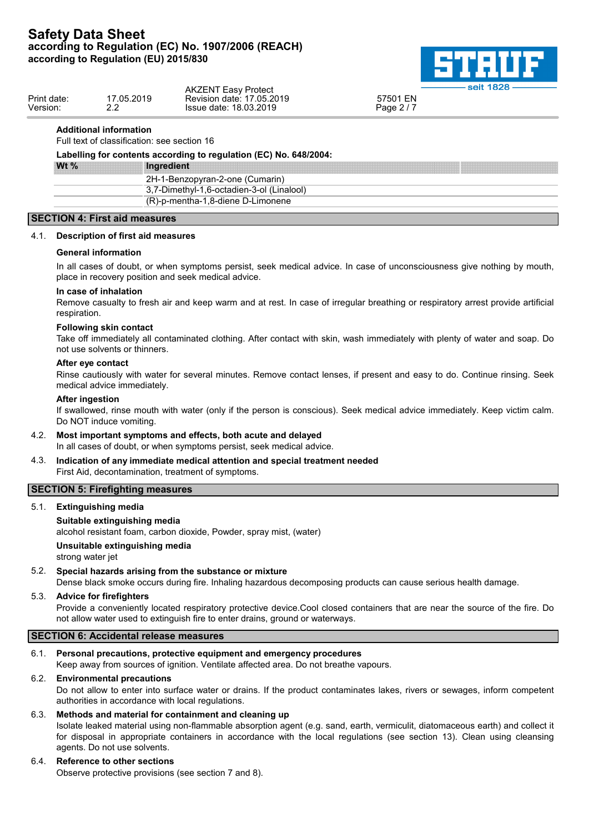

|             |               | <b>AKZENT Easy Protect</b> | <b>Selt 1828</b> |
|-------------|---------------|----------------------------|------------------|
| Print date: | 17.05.2019    | Revision date: 17,05,2019  | 57501 EN         |
| Version:    | ົ<br><u>.</u> | Issue date: 18.03.2019     | Page 2 / 7       |
|             |               |                            |                  |

#### **Additional information**

Full text of classification: see section 16

| Wt $%$ | Ingredient                                |
|--------|-------------------------------------------|
|        | 2H-1-Benzopyran-2-one (Cumarin)           |
|        | 3,7-Dimethyl-1,6-octadien-3-ol (Linalool) |
|        | (R)-p-mentha-1,8-diene D-Limonene         |

#### **SECTION 4: First aid measures**

#### 4.1. **Description of first aid measures**

#### **General information**

In all cases of doubt, or when symptoms persist, seek medical advice. In case of unconsciousness give nothing by mouth, place in recovery position and seek medical advice.

#### **In case of inhalation**

Remove casualty to fresh air and keep warm and at rest. In case of irregular breathing or respiratory arrest provide artificial respiration.

#### **Following skin contact**

Take off immediately all contaminated clothing. After contact with skin, wash immediately with plenty of water and soap. Do not use solvents or thinners.

#### **After eye contact**

Rinse cautiously with water for several minutes. Remove contact lenses, if present and easy to do. Continue rinsing. Seek medical advice immediately.

#### **After ingestion**

If swallowed, rinse mouth with water (only if the person is conscious). Seek medical advice immediately. Keep victim calm. Do NOT induce vomiting.

4.2. **Most important symptoms and effects, both acute and delayed**

In all cases of doubt, or when symptoms persist, seek medical advice.

4.3. **Indication of any immediate medical attention and special treatment needed** First Aid, decontamination, treatment of symptoms.

### **SECTION 5: Firefighting measures**

5.1. **Extinguishing media**

#### **Suitable extinguishing media**

alcohol resistant foam, carbon dioxide, Powder, spray mist, (water)

#### **Unsuitable extinguishing media**

strong water jet

#### 5.2. **Special hazards arising from the substance or mixture**

Dense black smoke occurs during fire. Inhaling hazardous decomposing products can cause serious health damage.

#### 5.3. **Advice for firefighters**

Provide a conveniently located respiratory protective device.Cool closed containers that are near the source of the fire. Do not allow water used to extinguish fire to enter drains, ground or waterways.

#### **SECTION 6: Accidental release measures**

#### 6.1. **Personal precautions, protective equipment and emergency procedures**

Keep away from sources of ignition. Ventilate affected area. Do not breathe vapours.

#### 6.2. **Environmental precautions**

Do not allow to enter into surface water or drains. If the product contaminates lakes, rivers or sewages, inform competent authorities in accordance with local regulations.

#### 6.3. **Methods and material for containment and cleaning up**

Isolate leaked material using non-flammable absorption agent (e.g. sand, earth, vermiculit, diatomaceous earth) and collect it for disposal in appropriate containers in accordance with the local regulations (see section 13). Clean using cleansing agents. Do not use solvents.

#### 6.4. **Reference to other sections**

Observe protective provisions (see section 7 and 8).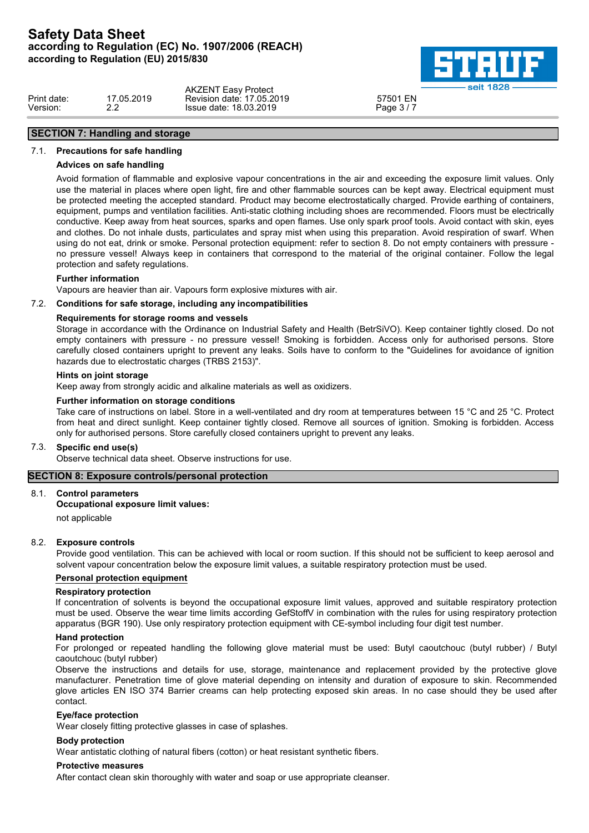

|                         |                  | <b>AKZENT Easy Protect</b>                          | 88. 400C<br>. eait     |  |
|-------------------------|------------------|-----------------------------------------------------|------------------------|--|
| Print date:<br>Version: | 7.05.2019<br>- - | Revision date: 17,05,2019<br>Issue date: 18.03.2019 | 57501 EN<br>Page 3 / 7 |  |
|                         |                  |                                                     |                        |  |

# **SECTION 7: Handling and storage** 7.1. **Precautions for safe handling**

### **Advices on safe handling**

Avoid formation of flammable and explosive vapour concentrations in the air and exceeding the exposure limit values. Only use the material in places where open light, fire and other flammable sources can be kept away. Electrical equipment must be protected meeting the accepted standard. Product may become electrostatically charged. Provide earthing of containers, equipment, pumps and ventilation facilities. Anti-static clothing including shoes are recommended. Floors must be electrically conductive. Keep away from heat sources, sparks and open flames. Use only spark proof tools. Avoid contact with skin, eyes and clothes. Do not inhale dusts, particulates and spray mist when using this preparation. Avoid respiration of swarf. When using do not eat, drink or smoke. Personal protection equipment: refer to section 8. Do not empty containers with pressure no pressure vessel! Always keep in containers that correspond to the material of the original container. Follow the legal protection and safety regulations.

#### **Further information**

Vapours are heavier than air. Vapours form explosive mixtures with air.

#### 7.2. **Conditions for safe storage, including any incompatibilities**

#### **Requirements for storage rooms and vessels**

Storage in accordance with the Ordinance on Industrial Safety and Health (BetrSiVO). Keep container tightly closed. Do not empty containers with pressure - no pressure vessel! Smoking is forbidden. Access only for authorised persons. Store carefully closed containers upright to prevent any leaks. Soils have to conform to the "Guidelines for avoidance of ignition hazards due to electrostatic charges (TRBS 2153)".

#### **Hints on joint storage**

Keep away from strongly acidic and alkaline materials as well as oxidizers.

### **Further information on storage conditions**

Take care of instructions on label. Store in a well-ventilated and dry room at temperatures between 15 °C and 25 °C. Protect from heat and direct sunlight. Keep container tightly closed. Remove all sources of ignition. Smoking is forbidden. Access only for authorised persons. Store carefully closed containers upright to prevent any leaks.

#### 7.3. **Specific end use(s)**

Observe technical data sheet. Observe instructions for use.

### **SECTION 8: Exposure controls/personal protection**

#### 8.1. **Control parameters**

#### **Occupational exposure limit values:**

not applicable

#### 8.2. **Exposure controls**

Provide good ventilation. This can be achieved with local or room suction. If this should not be sufficient to keep aerosol and solvent vapour concentration below the exposure limit values, a suitable respiratory protection must be used.

#### **Personal protection equipment**

#### **Respiratory protection**

If concentration of solvents is beyond the occupational exposure limit values, approved and suitable respiratory protection must be used. Observe the wear time limits according GefStoffV in combination with the rules for using respiratory protection apparatus (BGR 190). Use only respiratory protection equipment with CE-symbol including four digit test number.

#### **Hand protection**

For prolonged or repeated handling the following glove material must be used: Butyl caoutchouc (butyl rubber) / Butyl caoutchouc (butyl rubber)

Observe the instructions and details for use, storage, maintenance and replacement provided by the protective glove manufacturer. Penetration time of glove material depending on intensity and duration of exposure to skin. Recommended glove articles EN ISO 374 Barrier creams can help protecting exposed skin areas. In no case should they be used after contact.

#### **Eye/face protection**

Wear closely fitting protective glasses in case of splashes.

#### **Body protection**

Wear antistatic clothing of natural fibers (cotton) or heat resistant synthetic fibers.

#### **Protective measures**

After contact clean skin thoroughly with water and soap or use appropriate cleanser.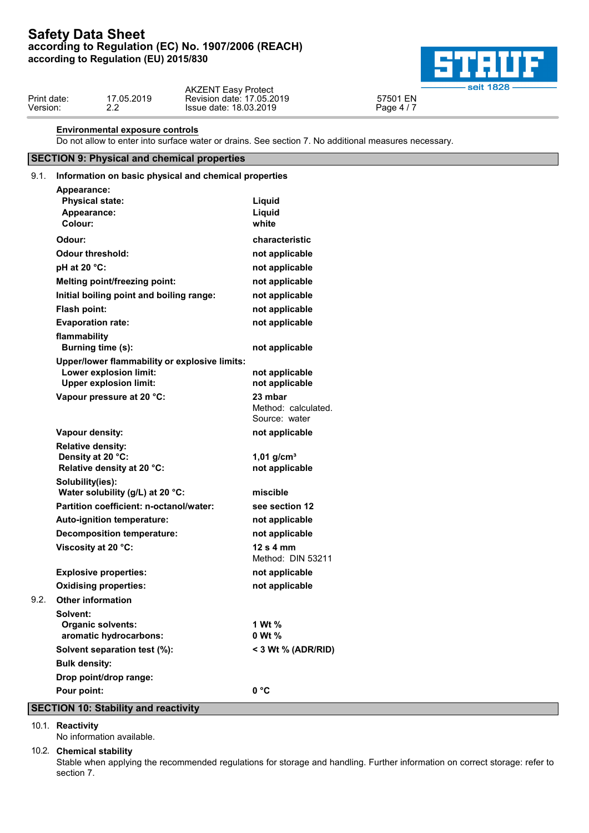

| Revision date: 17.05.2019<br>Print date:<br>17.05.2019<br>57501 EN<br>Issue date: 18.03.2019<br>Version:<br>Page 4<br><u>.</u> |  | <b>AKZENT Easy Protect</b> | $\sim$ $\sim$ $\sim$ $\sim$ |
|--------------------------------------------------------------------------------------------------------------------------------|--|----------------------------|-----------------------------|
|                                                                                                                                |  |                            |                             |

### **Environmental exposure controls**

Do not allow to enter into surface water or drains. See section 7. No additional measures necessary.

# **SECTION 9: Physical and chemical properties**

### 9.1. **Information on basic physical and chemical properties**

| Appearance:                                                                                              |                                                 |
|----------------------------------------------------------------------------------------------------------|-------------------------------------------------|
| <b>Physical state:</b>                                                                                   | Liquid                                          |
| Appearance:                                                                                              | Liquid                                          |
| Colour:                                                                                                  | white                                           |
| Odour:                                                                                                   | characteristic                                  |
| <b>Odour threshold:</b>                                                                                  | not applicable                                  |
| pH at 20 °C:                                                                                             | not applicable                                  |
| <b>Melting point/freezing point:</b>                                                                     | not applicable                                  |
| Initial boiling point and boiling range:                                                                 | not applicable                                  |
| Flash point:                                                                                             | not applicable                                  |
| <b>Evaporation rate:</b>                                                                                 | not applicable                                  |
| flammability<br>Burning time (s):                                                                        | not applicable                                  |
| Upper/lower flammability or explosive limits:<br>Lower explosion limit:<br><b>Upper explosion limit:</b> | not applicable<br>not applicable                |
| Vapour pressure at 20 °C:                                                                                | 23 mbar<br>Method: calculated.<br>Source: water |
| Vapour density:                                                                                          | not applicable                                  |
| <b>Relative density:</b><br>Density at 20 °C:<br>Relative density at 20 °C:                              | $1,01$ g/cm <sup>3</sup><br>not applicable      |
| Solubility(ies):<br>Water solubility (g/L) at 20 °C:                                                     | miscible                                        |
| Partition coefficient: n-octanol/water:                                                                  | see section 12                                  |
| Auto-ignition temperature:                                                                               | not applicable                                  |
| <b>Decomposition temperature:</b>                                                                        | not applicable                                  |
| Viscosity at 20 °C:                                                                                      | $12s4$ mm<br>Method: DIN 53211                  |
| <b>Explosive properties:</b>                                                                             | not applicable                                  |
| <b>Oxidising properties:</b>                                                                             | not applicable                                  |
| <b>Other information</b>                                                                                 |                                                 |
| Solvent:<br><b>Organic solvents:</b><br>aromatic hydrocarbons:                                           | 1 Wt %<br>0 Wt %                                |
| Solvent separation test (%):                                                                             | < 3 Wt $%$ (ADR/RID)                            |
| <b>Bulk density:</b>                                                                                     |                                                 |
|                                                                                                          |                                                 |
| Drop point/drop range:                                                                                   |                                                 |

#### 10.1. **Reactivity**

No information available.

#### 10.2. **Chemical stability**

Stable when applying the recommended regulations for storage and handling. Further information on correct storage: refer to section 7.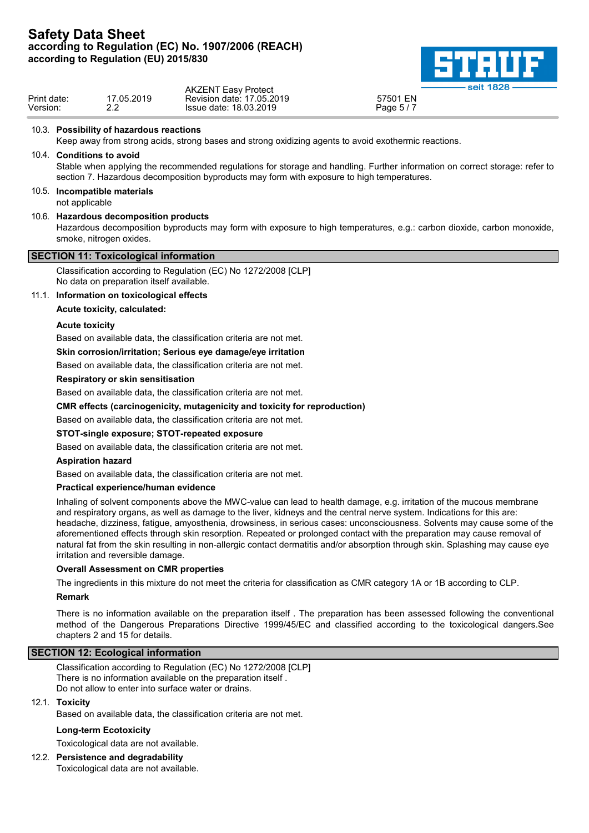# **Safety Data Sheet according to Regulation (EC) No. 1907/2006 (REACH)**



|                         |                           | according to Regulation (EU) 2015/830                             |                                                                                                      |                                                                                                                             |
|-------------------------|---------------------------|-------------------------------------------------------------------|------------------------------------------------------------------------------------------------------|-----------------------------------------------------------------------------------------------------------------------------|
| Print date:<br>Version: |                           | 17.05.2019<br>2.2                                                 | <b>AKZENT Easy Protect</b><br>Revision date: 17.05.2019<br>Issue date: 18.03.2019                    | seit 1828<br>57501 EN<br>Page 5/7                                                                                           |
|                         |                           | 10.3. Possibility of hazardous reactions                          |                                                                                                      |                                                                                                                             |
|                         |                           |                                                                   | Keep away from strong acids, strong bases and strong oxidizing agents to avoid exothermic reactions. |                                                                                                                             |
|                         | 10.4. Conditions to avoid |                                                                   | section 7. Hazardous decomposition byproducts may form with exposure to high temperatures.           | Stable when applying the recommended regulations for storage and handling. Further information on correct storage: refer to |
|                         | not applicable            | 10.5. Incompatible materials                                      |                                                                                                      |                                                                                                                             |
|                         |                           | 10.6. Hazardous decomposition products<br>smoke, nitrogen oxides. |                                                                                                      | Hazardous decomposition byproducts may form with exposure to high temperatures, e.g.: carbon dioxide, carbon monoxide,      |
|                         |                           | <b>SECTION 11: Toxicological information</b>                      |                                                                                                      |                                                                                                                             |
|                         |                           | No data on preparation itself available.                          | Classification according to Regulation (EC) No 1272/2008 [CLP]                                       |                                                                                                                             |
|                         |                           | 11.1. Information on toxicological effects                        |                                                                                                      |                                                                                                                             |
|                         |                           | Acute toxicity, calculated:                                       |                                                                                                      |                                                                                                                             |
|                         | <b>Acute toxicity</b>     |                                                                   |                                                                                                      |                                                                                                                             |
|                         |                           |                                                                   | Based on available data, the classification criteria are not met.                                    |                                                                                                                             |
|                         |                           |                                                                   | Skin corrosion/irritation; Serious eye damage/eye irritation                                         |                                                                                                                             |
|                         |                           |                                                                   | Based on available data, the classification criteria are not met.                                    |                                                                                                                             |
|                         |                           | <b>Respiratory or skin sensitisation</b>                          |                                                                                                      |                                                                                                                             |
|                         |                           |                                                                   | Based on available data, the classification criteria are not met.                                    |                                                                                                                             |
|                         |                           |                                                                   | CMR effects (carcinogenicity, mutagenicity and toxicity for reproduction)                            |                                                                                                                             |
|                         |                           |                                                                   | Based on available data, the classification criteria are not met.                                    |                                                                                                                             |
|                         |                           |                                                                   | STOT-single exposure: STOT-repeated exposure                                                         |                                                                                                                             |

### **STOT-single exposure; STOT-repeated exposure**

Based on available data, the classification criteria are not met.

### **Aspiration hazard**

Based on available data, the classification criteria are not met.

### **Practical experience/human evidence**

Inhaling of solvent components above the MWC-value can lead to health damage, e.g. irritation of the mucous membrane and respiratory organs, as well as damage to the liver, kidneys and the central nerve system. Indications for this are: headache, dizziness, fatigue, amyosthenia, drowsiness, in serious cases: unconsciousness. Solvents may cause some of the aforementioned effects through skin resorption. Repeated or prolonged contact with the preparation may cause removal of natural fat from the skin resulting in non-allergic contact dermatitis and/or absorption through skin. Splashing may cause eye irritation and reversible damage.

### **Overall Assessment on CMR properties**

The ingredients in this mixture do not meet the criteria for classification as CMR category 1A or 1B according to CLP.

### **Remark**

There is no information available on the preparation itself . The preparation has been assessed following the conventional method of the Dangerous Preparations Directive 1999/45/EC and classified according to the toxicological dangers.See chapters 2 and 15 for details.

### **SECTION 12: Ecological information**

Classification according to Regulation (EC) No 1272/2008 [CLP] There is no information available on the preparation itself . Do not allow to enter into surface water or drains.

### 12.1. **Toxicity**

Based on available data, the classification criteria are not met.

### **Long-term Ecotoxicity**

Toxicological data are not available.

# 12.2. **Persistence and degradability**

Toxicological data are not available.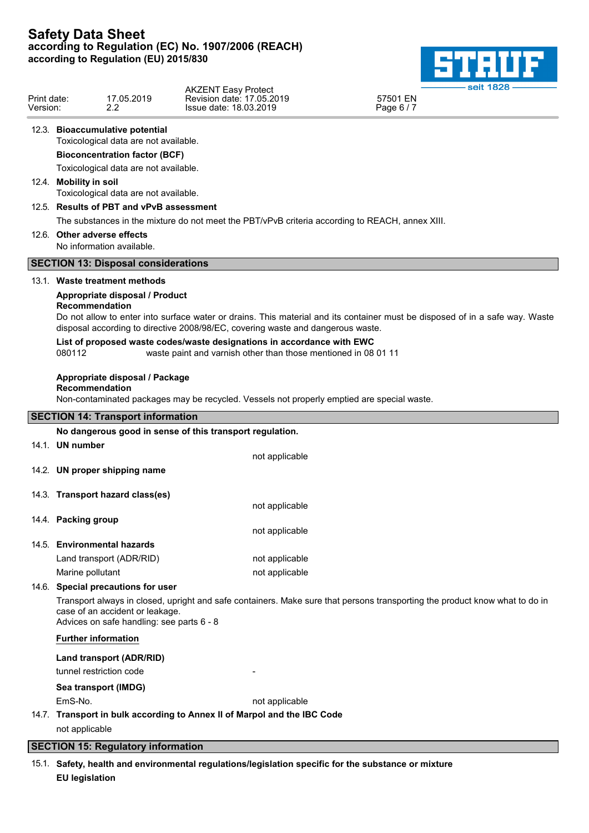

|                         |                                                          |                                                                               |                                                                                                                                          | seit 1828 -                                                                                                                  |  |  |
|-------------------------|----------------------------------------------------------|-------------------------------------------------------------------------------|------------------------------------------------------------------------------------------------------------------------------------------|------------------------------------------------------------------------------------------------------------------------------|--|--|
| Print date:<br>Version: |                                                          | 17.05.2019<br>$2.2^{\circ}$                                                   | <b>AKZENT Easy Protect</b><br>Revision date: 17.05.2019<br>Issue date: 18.03.2019                                                        | 57501 EN<br>Page 6 / 7                                                                                                       |  |  |
|                         |                                                          | 12.3. Bioaccumulative potential<br>Toxicological data are not available.      |                                                                                                                                          |                                                                                                                              |  |  |
|                         |                                                          | <b>Bioconcentration factor (BCF)</b><br>Toxicological data are not available. |                                                                                                                                          |                                                                                                                              |  |  |
|                         | 12.4. Mobility in soil                                   | Toxicological data are not available.                                         |                                                                                                                                          |                                                                                                                              |  |  |
|                         |                                                          | 12.5. Results of PBT and vPvB assessment                                      |                                                                                                                                          |                                                                                                                              |  |  |
|                         |                                                          |                                                                               | The substances in the mixture do not meet the PBT/vPvB criteria according to REACH, annex XIII.                                          |                                                                                                                              |  |  |
|                         | 12.6. Other adverse effects<br>No information available. |                                                                               |                                                                                                                                          |                                                                                                                              |  |  |
|                         |                                                          | <b>SECTION 13: Disposal considerations</b>                                    |                                                                                                                                          |                                                                                                                              |  |  |
|                         |                                                          | 13.1. Waste treatment methods                                                 |                                                                                                                                          |                                                                                                                              |  |  |
|                         |                                                          | Appropriate disposal / Product                                                |                                                                                                                                          |                                                                                                                              |  |  |
|                         | Recommendation                                           |                                                                               | disposal according to directive 2008/98/EC, covering waste and dangerous waste.                                                          | Do not allow to enter into surface water or drains. This material and its container must be disposed of in a safe way. Waste |  |  |
|                         | 080112                                                   |                                                                               | List of proposed waste codes/waste designations in accordance with EWC<br>waste paint and varnish other than those mentioned in 08 01 11 |                                                                                                                              |  |  |
|                         | Recommendation                                           | Appropriate disposal / Package                                                |                                                                                                                                          |                                                                                                                              |  |  |
|                         |                                                          |                                                                               | Non-contaminated packages may be recycled. Vessels not properly emptied are special waste.                                               |                                                                                                                              |  |  |
|                         |                                                          | <b>SECTION 14: Transport information</b>                                      |                                                                                                                                          |                                                                                                                              |  |  |
|                         |                                                          |                                                                               | No dangerous good in sense of this transport regulation.                                                                                 |                                                                                                                              |  |  |
|                         | 14.1. UN number                                          |                                                                               | not applicable                                                                                                                           |                                                                                                                              |  |  |
|                         |                                                          | 14.2. UN proper shipping name                                                 |                                                                                                                                          |                                                                                                                              |  |  |
|                         |                                                          | 14.3. Transport hazard class(es)                                              |                                                                                                                                          |                                                                                                                              |  |  |
|                         |                                                          |                                                                               | not applicable                                                                                                                           |                                                                                                                              |  |  |
|                         | 14.4. Packing group                                      |                                                                               | not applicable                                                                                                                           |                                                                                                                              |  |  |
|                         |                                                          | 14.5. Environmental hazards                                                   |                                                                                                                                          |                                                                                                                              |  |  |
|                         |                                                          | Land transport (ADR/RID)                                                      | not applicable                                                                                                                           |                                                                                                                              |  |  |
|                         | Marine pollutant                                         |                                                                               | not applicable                                                                                                                           |                                                                                                                              |  |  |
|                         |                                                          | 14.6. Special precautions for user                                            |                                                                                                                                          |                                                                                                                              |  |  |
|                         |                                                          | case of an accident or leakage.<br>Advices on safe handling: see parts 6 - 8  |                                                                                                                                          | Transport always in closed, upright and safe containers. Make sure that persons transporting the product know what to do in  |  |  |
|                         | <b>Further information</b>                               |                                                                               |                                                                                                                                          |                                                                                                                              |  |  |
|                         |                                                          | Land transport (ADR/RID)                                                      |                                                                                                                                          |                                                                                                                              |  |  |
|                         |                                                          | tunnel restriction code                                                       |                                                                                                                                          |                                                                                                                              |  |  |
|                         |                                                          | Sea transport (IMDG)                                                          |                                                                                                                                          |                                                                                                                              |  |  |
|                         | EmS-No.                                                  |                                                                               | not applicable                                                                                                                           |                                                                                                                              |  |  |
|                         |                                                          |                                                                               | 14.7. Transport in bulk according to Annex II of Marpol and the IBC Code                                                                 |                                                                                                                              |  |  |
|                         | not applicable                                           |                                                                               |                                                                                                                                          |                                                                                                                              |  |  |
|                         |                                                          | <b>SECTION 15: Regulatory information</b>                                     |                                                                                                                                          |                                                                                                                              |  |  |

15.1. **Safety, health and environmental regulations/legislation specific for the substance or mixture EU legislation**